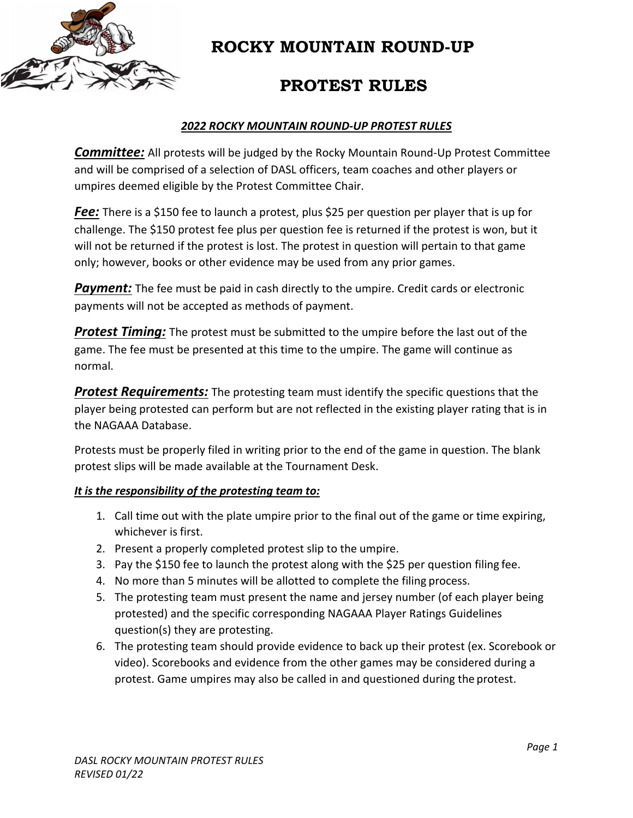

### **ROCKY MOUNTAIN ROUND-UP**

# **PROTEST RULES**

#### *2022 ROCKY MOUNTAIN ROUND‐UP PROTEST RULES*

*Committee:* All protests will be judged by the Rocky Mountain Round‐Up Protest Committee and will be comprised of a selection of DASL officers, team coaches and other players or umpires deemed eligible by the Protest Committee Chair.

**Fee:** There is a \$150 fee to launch a protest, plus \$25 per question per player that is up for challenge. The \$150 protest fee plus per question fee is returned if the protest is won, but it will not be returned if the protest is lost. The protest in question will pertain to that game only; however, books or other evidence may be used from any prior games.

**Payment:** The fee must be paid in cash directly to the umpire. Credit cards or electronic payments will not be accepted as methods of payment.

*Protest Timing:* The protest must be submitted to the umpire before the last out of the game. The fee must be presented at this time to the umpire. The game will continue as normal.

**Protest Requirements:** The protesting team must identify the specific questions that the player being protested can perform but are not reflected in the existing player rating that is in the NAGAAA Database.

Protests must be properly filed in writing prior to the end of the game in question. The blank protest slips will be made available at the Tournament Desk.

#### *It is the responsibility of the protesting team to:*

- 1. Call time out with the plate umpire prior to the final out of the game or time expiring, whichever is first.
- 2. Present a properly completed protest slip to the umpire.
- 3. Pay the \$150 fee to launch the protest along with the \$25 per question filing fee.
- 4. No more than 5 minutes will be allotted to complete the filing process.
- 5. The protesting team must present the name and jersey number (of each player being protested) and the specific corresponding NAGAAA Player Ratings Guidelines question(s) they are protesting.
- 6. The protesting team should provide evidence to back up their protest (ex. Scorebook or video). Scorebooks and evidence from the other games may be considered during a protest. Game umpires may also be called in and questioned during the protest.